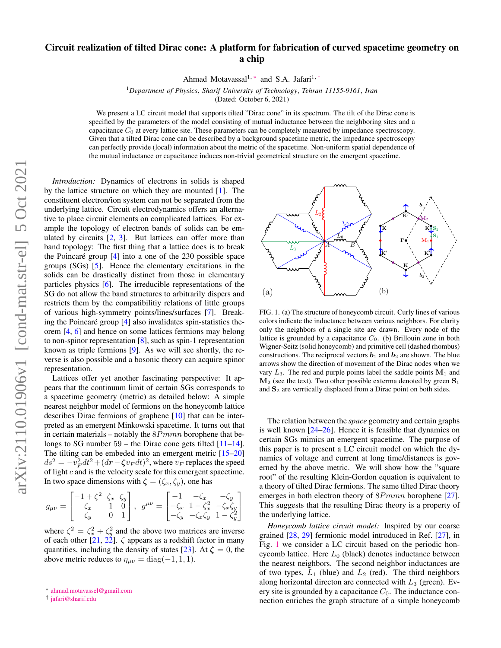# Circuit realization of tilted Dirac cone: A platform for fabrication of curved spacetime geometry on a chip

Ahmad Motavassal<sup>1,</sup> [∗](#page-0-0) and S.A. Jafari<sup>1,[†](#page-0-1)</sup>

<sup>1</sup>*Department of Physics*, *Sharif University of Technology*, *Tehran 11155-9161*, *Iran*

(Dated: October 6, 2021)

We present a LC circuit model that supports tilted "Dirac cone" in its spectrum. The tilt of the Dirac cone is specified by the parameters of the model consisting of mutual inductance between the neighboring sites and a capacitance  $C_0$  at every lattice site. These parameters can be completely measured by impedance spectroscopy. Given that a tilted Dirac cone can be described by a background spacetime metric, the impedance spectroscopy can perfectly provide (local) information about the metric of the spacetime. Non-uniform spatial dependence of the mutual inductance or capacitance induces non-trivial geometrical structure on the emergent spacetime.

*Introduction:* Dynamics of electrons in solids is shaped by the lattice structure on which they are mounted [\[1\]](#page-3-0). The constituent electron/ion system can not be separated from the underlying lattice. Circuit electrodynamics offers an alternative to place circuit elements on complicated lattices. For example the topology of electron bands of solids can be emulated by circuits  $[2, 3]$  $[2, 3]$  $[2, 3]$ . But lattices can offer more than band topology: The first thing that a lattice does is to break the Poincaré group  $[4]$  $[4]$  into a one of the 230 possible space groups (SGs) [\[5\]](#page-3-4). Hence the elementary excitations in the solids can be drastically distinct from those in elementary particles physics [\[6\]](#page-3-5). The irreducible representations of the SG do not allow the band structures to arbitrarily dispers and restricts them by the compatibilitiy relations of little groups of various high-symmetry points/lines/surfaces [\[7\]](#page-3-6). Breaking the Poincaré group  $[4]$  $[4]$  also invalidates spin-statistics theorem [\[4,](#page-3-3) [6\]](#page-3-5) and hence on some lattices fermions may belong to non-spinor representation [\[8\]](#page-3-7), such as spin-1 representation known as triple fermions [\[9\]](#page-3-8). As we will see shortly, the reverse is also possible and a bosonic theory can acquire spinor representation.

Lattices offer yet another fascinating perspective: It appears that the continuum limit of certain SGs corresponds to a spacetime geometry (metric) as detailed below: A simple nearest neighbor model of fermions on the honeycomb lattice describes Dirac fermions of graphene [\[10\]](#page-3-9) that can be interpreted as an emergent Minkowski spacetime. It turns out that in certain materials – notably the  $8Pmmn$  borophene that belongs to SG number  $59$  – the Dirac cone gets tilted  $[11-14]$  $[11-14]$ . The tilting can be embeded into an emergent metric [\[15–](#page-3-12)[20\]](#page-3-13)  $ds^2 = -v_F^2 dt^2 + (dr - \zeta v_F dt)^2$ , where  $v_F$  replaces the speed of light  $c$  and is the velocity scale for this emergent spacetime. In two space dimensions with  $\zeta = (\zeta_x, \zeta_y)$ , one has

<span id="page-0-3"></span>
$$
g_{\mu\nu} = \begin{bmatrix} -1 + \zeta^2 & \zeta_x & \zeta_y \\ \zeta_x & 1 & 0 \\ \zeta_y & 0 & 1 \end{bmatrix}, g^{\mu\nu} = \begin{bmatrix} -1 & -\zeta_x & -\zeta_y \\ -\zeta_x & 1 - \zeta_x^2 & -\zeta_x \zeta_y \\ -\zeta_y & -\zeta_x \zeta_y & 1 - \zeta_y^2 \end{bmatrix}
$$

where  $\zeta^2 = \zeta_x^2 + \zeta_y^2$  and the above two matrices are inverse of each other [\[21,](#page-3-14) [22\]](#page-3-15).  $\zeta$  appears as a redshift factor in many quantities, including the density of states [\[23\]](#page-3-16). At  $\zeta = 0$ , the above metric reduces to  $\eta_{\mu\nu} = \text{diag}(-1, 1, 1)$ .



<span id="page-0-2"></span>FIG. 1. (a) The structure of honeycomb circuit. Curly lines of various colors indicate the inductance between various neighbors. For clarity only the neighbors of a single site are drawn. Every node of the lattice is grounded by a capacitance  $C_0$ . (b) Brillouin zone in both Wigner-Seitz (solid honeycomb) and primitive cell (dashed rhombus) constructions. The reciprocal vectors  $b_1$  and  $b_2$  are shown. The blue arrows show the direction of movement of the Dirac nodes when we vary  $L_3$ . The red and purple points label the saddle points  $M_1$  and  $M_2$  (see the text). Two other possible exterma denoted by green  $S_1$ and  $S_2$  are verrtically displaced from a Dirac point on both sides.

emerges in both electron theory of  $8Pmmn$  borophene [\[27\]](#page-3-19). The relation between the *space* geometry and certain graphs is well known [\[24](#page-3-17)[–26\]](#page-3-18). Hence it is feasible that dynamics on certain SGs mimics an emergent spacetime. The purpose of this paper is to present a LC circuit model on which the dynamics of voltage and current at long time/distances is governed by the above metric. We will show how the "square root" of the resulting Klein-Gordon equation is equivalent to a theory of tilted Dirac fermions. The same tilted Dirac theory This suggests that the resulting Dirac theory is a property of the underlying lattice.

*Honeycomb lattice circuit model:* Inspired by our coarse grained [\[28,](#page-3-20) [29\]](#page-3-21) fermionic model introduced in Ref. [\[27\]](#page-3-19), in Fig. [1](#page-0-2) we consider a LC circuit based on the periodic honeycomb lattice. Here  $L_0$  (black) denotes inductance between the nearest neighbors. The second neighbor inductances are of two types,  $L_1$  (blue) and  $L_2$  (red). The third neighbors along horizontal directon are connected with  $L_3$  (green). Every site is grounded by a capacitance  $C_0$ . The inductance connection enriches the graph structure of a simple honeycomb

<span id="page-0-0"></span><sup>∗</sup> [ahmad.motavassel@gmail.com](mailto:ahmad.motavassel@gmail.com)

<span id="page-0-1"></span><sup>†</sup> [jafari@sharif.edu](mailto:jafari@sharif.edu)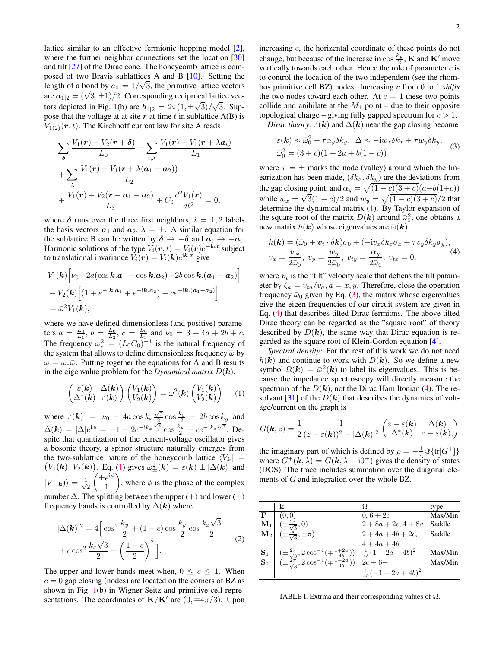lattice similar to an effective fermionic hopping model [\[2\]](#page-3-1), where the further neighbor connections set the location [\[30\]](#page-3-22) and tilt [\[27\]](#page-3-19) of the Dirac cone. The honeycomb lattice is composed of two Bravis sublattices A and B [\[10\]](#page-3-9). Setting the length of a bond by  $a_0 = 1/\sqrt{3}$ , the primitive lattice vectors are  $a_{1|2} = (\sqrt{3}, \pm 1)/2$ . Corresponding reciprocal lattice vec-tors depicted in Fig. [1\(](#page-0-2)b) are  $b_{1|2} = 2\pi(1, \pm\sqrt{3})/\sqrt{3}$ . Suppose that the voltage at at site  $r$  at time  $t$  in sublattice A(B) is  $V_{1(2)}(\mathbf{r}, t)$ . The Kirchhoff current law for site A reads

$$
\sum_{\delta} \frac{V_1(\mathbf{r}) - V_2(\mathbf{r} + \delta)}{L_0} + \sum_{i,\lambda} \frac{V_1(\mathbf{r}) - V_1(\mathbf{r} + \lambda a_i)}{L_1} + \sum_{\lambda} \frac{V_1(\mathbf{r}) - V_1(\mathbf{r} + \lambda(a_1 - a_2))}{L_2} + \frac{V_1(\mathbf{r}) - V_2(\mathbf{r} - a_1 - a_2)}{L_3} + C_0 \frac{d^2 V_1(\mathbf{r})}{dt^2} = 0,
$$

where  $\delta$  runs over the three first neighbors,  $i = 1, 2$  labels the basis vectors  $a_1$  and  $a_2$ ,  $\lambda = \pm$ . A similar equation for the sublattice B can be written by  $\delta \to -\delta$  and  $a_i \to -a_i$ . Harmonic solutions of the type  $V_i(\mathbf{r},t) = V_i(\mathbf{r})e^{-i\omega t}$  subject to translational invariance  $V_i(\mathbf{r}) = V_i(\mathbf{k})e^{\mathrm{i}\mathbf{k}\cdot\mathbf{r}}$  give

$$
V_1(\mathbf{k}) \Big[ \nu_0 - 2a(\cos \mathbf{k}.\mathbf{a}_1 + \cos \mathbf{k}.\mathbf{a}_2) - 2b \cos \mathbf{k}.(\mathbf{a}_1 - \mathbf{a}_2) \Big] - V_2(\mathbf{k}) \Big[ (1 + e^{-i\mathbf{k}.\mathbf{a}_1} + e^{-i\mathbf{k}.\mathbf{a}_2}) - ce^{-i\mathbf{k}.(\mathbf{a}_1 + \mathbf{a}_2)} \Big] = \bar{\omega}^2 V_1(\mathbf{k}),
$$

where we have defined dimensionless (and positive) parameters  $a = \frac{L_0}{L_1}$ ,  $b = \frac{L_0}{L_2}$ ,  $c = \frac{L_0}{L_3}$  and  $\nu_0 = 3 + 4a + 2b + c$ . The frequency  $\omega_*^2 = (L_0 C_0)^{-1}$  is the natural frequency of the system that allows to define dimensionless frequency  $\bar{\omega}$  by  $\omega = \omega_*\bar{\omega}$ . Putting together the equations for A and B results in the eigenvalue problem for the *Dynamical matrix*  $D(\mathbf{k}),$ 

$$
\begin{pmatrix}\n\varepsilon(\mathbf{k}) & \Delta(\mathbf{k}) \\
\Delta^*(\mathbf{k}) & \varepsilon(\mathbf{k})\n\end{pmatrix}\n\begin{pmatrix}\nV_1(\mathbf{k}) \\
V_2(\mathbf{k})\n\end{pmatrix} = \bar{\omega}^2(\mathbf{k})\n\begin{pmatrix}\nV_1(\mathbf{k}) \\
V_2(\mathbf{k})\n\end{pmatrix} (1)
$$

where  $\varepsilon(\mathbf{k}) = v_0 - 4a \cos k_x \frac{\sqrt{3}}{2} \cos \frac{k_y}{2} - 2b \cos k_y$  and  $\Delta(\mathbf{k}) = |\Delta|e^{i\phi} = -1 - 2e^{-ik_x\frac{\sqrt{3}}{2}}\cos\frac{k_y}{2} - ce^{-ik_x\sqrt{3}}$ . Despite that quantization of the current-voltage oscillator gives a bosonic theory, a spinor structure naturally emerges from the two-sublattice nature of the honeycomb lattice  $\langle V_{\mathbf{k}}| =$  $(V_1(k) \ V_2(k))$ . Eq. [\(1\)](#page-0-3) gives  $\bar{\omega}_{\pm}^2(k) = \varepsilon(k) \pm |\Delta(k)|$  and  $|V_{\pm,{\bm k}})\rangle = \frac{1}{\sqrt{2}}$ 2  $\left( \pm e^{i\phi} \right)$ 1 ), where  $\phi$  is the phase of the complex number  $\Delta$ . The splitting between the upper (+) and lower (-) frequency bands is controlled by  $\Delta(k)$  where

<span id="page-1-3"></span>
$$
|\Delta(\mathbf{k})|^2 = 4 \left[ \cos^2 \frac{k_y}{2} + (1+c) \cos \frac{k_y}{2} \cos \frac{k_x \sqrt{3}}{2} + c \cos^2 \frac{k_x \sqrt{3}}{2} + \left( \frac{1-c}{2} \right)^2 \right].
$$
 (2)

The upper and lower bands meet when,  $0 \leq c \leq 1$ . When  $c = 0$  gap closing (nodes) are located on the corners of BZ as shown in Fig. [1\(](#page-0-2)b) in Wigner-Seitz and primitive cell representations. The coordinates of  $\mathbf{K}/\mathbf{K}'$  are  $(0, \pm 4\pi/3)$ . Upon increasing c, the horizental coordinate of these points do not change, but because of the increase in  $\cos \frac{k_y}{2}$  $\frac{e_y}{2}$ , **K** and **K**' move vertically towards each other. Hence the role of parameter  $c$  is to control the location of the two independent (see the rhombos primitive cell BZ) nodes. Increasing c from 0 to 1 *shifts* the two nodes toward each other. At  $c = 1$  these two points collide and anihilate at the  $M_1$  point – due to their opposite topological charge – giving fully gapped spectrum for  $c > 1$ .

*Dirac theory:*  $\varepsilon(\mathbf{k})$  and  $\Delta(\mathbf{k})$  near the gap closing become

<span id="page-1-0"></span>
$$
\varepsilon(\mathbf{k}) \approx \bar{\omega}_0^2 + \tau \alpha_y \delta k_y, \ \ \Delta \approx -i w_x \delta k_x + \tau w_y \delta k_y, \ \ \bar{\omega}_0^2 = (3 + c)(1 + 2a + b(1 - c))
$$
\n(3)

where  $\tau = \pm$  marks the node (valley) around which the linearization has been made,  $(\delta k_x, \delta k_y)$  are the deviations from the gap closing point, and  $\alpha_y = \sqrt{(1-c)(3+c)}(a-b(1+c))$ while  $w_x = \sqrt{3}(1-c)/2$  and  $w_y = \sqrt{(1-c)(3+c)}/2$  that determine the dynamical matrix [\(1\)](#page-0-3). By Taylor expansion of the square root of the matrix  $D(k)$  around  $\bar{\omega}_0^2$ , one obtains a new matrix  $h(\mathbf{k})$  whose eigenvalues are  $\bar{\omega}(\mathbf{k})$ :

<span id="page-1-1"></span>
$$
h(\mathbf{k}) = (\bar{\omega}_0 + \mathbf{v}_t \cdot \delta \mathbf{k}) \sigma_0 + (-i v_x \delta k_x \sigma_x + \tau v_y \delta k_y \sigma_y),
$$
  

$$
v_x = \frac{w_x}{2\bar{\omega}_0}, \ v_y = \frac{w_y}{2\bar{\omega}_0}, \ v_{ty} = \frac{\alpha_y}{2\bar{\omega}_0}, \ v_{tx} = 0,
$$
 (4)

where  $v_t$  is the "tilt" velocity scale that defiens the tilt parameter by  $\zeta_a = v_{ta}/v_a$ ,  $a = x, y$ . Therefore, close the operation frequency  $\bar{\omega}_0$  given by Eq. [\(3\)](#page-1-0), the matrix whose eigenvalues give the eigen-frequencies of our circuit system are given in Eq. [\(4\)](#page-1-1) that describes tilted Dirac fermions. The above tilted Dirac theory can be regarded as the "square root" of theory described by  $D(k)$ , the same way that Dirac equation is regarded as the square root of Klein-Gordon equation [\[4\]](#page-3-3).

*Spectral density:* For the rest of this work we do not need  $h(\mathbf{k})$  and continue to work with  $D(\mathbf{k})$ . So we define a new symbol  $\Omega(k) = \bar{\omega}^2(k)$  to label its eigenvalues. This is because the impedance spectroscopy will directly measure the spectrum of the  $D(k)$ , not the Dirac Hamiltonian [\(4\)](#page-1-1). The re-solvant [\[31\]](#page-3-23) of the  $D(k)$  that describes the dynamics of voltage/current on the graph is

$$
G(\mathbf{k},z) = \frac{1}{2} \frac{1}{(z-\varepsilon(\mathbf{k}))^2 - |\Delta(\mathbf{k})|^2} \begin{pmatrix} z-\varepsilon(\mathbf{k}) & \Delta(\mathbf{k}) \\ \Delta^*(\mathbf{k}) & z-\varepsilon(\mathbf{k}), \end{pmatrix}
$$

the imaginary part of which is defined by  $\rho = -\frac{1}{\pi} \Im{\{\text{tr}[G^+]\}}$ where  $G^+({\bf k},\lambda) = G({\bf k},\lambda + {\rm i}0^+)$  gives the density of states (DOS). The trace includes summation over the diagonal elements of G and integration over the whole BZ.

|                | k                                                                                                                                                                                                  | $\Omega_{+}$               | type    |
|----------------|----------------------------------------------------------------------------------------------------------------------------------------------------------------------------------------------------|----------------------------|---------|
|                | (0, 0)                                                                                                                                                                                             | $0, 6 + 2c$                | Max/Min |
| $\mathbf{M}_1$ | $(\pm \frac{2\pi}{\sqrt{3}},0)$                                                                                                                                                                    | $2 + 8a + 2c$ , $4 + 8a$   | Saddle  |
| $\mathbf{M}_2$ | $(\pm \frac{\pi}{\sqrt{3}}, \pm \pi)$                                                                                                                                                              | $2 + 4a + 4b + 2c$ ,       | Saddle  |
|                |                                                                                                                                                                                                    | $4+4a+4b$                  |         |
| $\mathbf{S}_1$ |                                                                                                                                                                                                    | $\frac{1}{4b}(1+2a+4b)^2$  | Max/Min |
| $\mathbf{S}_2$ | $\begin{array}{ c c c c }\n\hline &(\pm\frac{2\pi}{\sqrt{3}},2\cos^{-1}(\mp\frac{1+2a}{4b})) & \frac{1}{4b}(1+2) \\ (\pm\frac{2\pi}{\sqrt{3}},2\cos^{-1}(\mp\frac{1-2a}{4b})) & 2c+6+ \end{array}$ |                            | Max/Min |
|                |                                                                                                                                                                                                    | $\frac{1}{4b}(-1+2a+4b)^2$ |         |

<span id="page-1-2"></span>TABLE I. Extrma and their corresponding values of  $\Omega$ .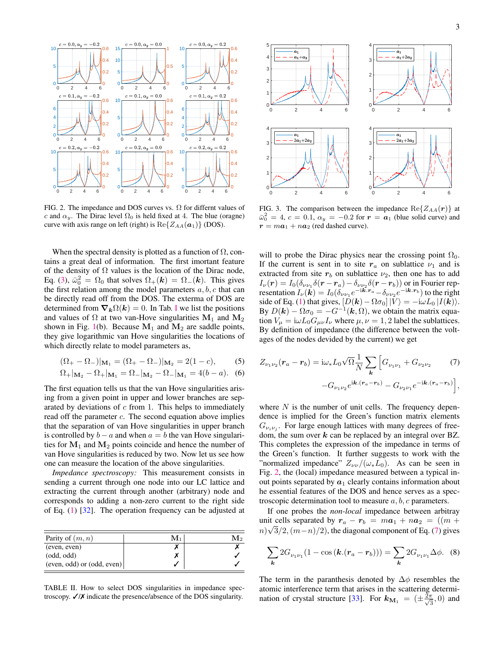

<span id="page-2-0"></span>FIG. 2. The impedance and DOS curves vs.  $\Omega$  for differnt values of c and  $\alpha_y$ . The Dirac level  $\Omega_0$  is held fixed at 4. The blue (oragne) curve with axis range on left (right) is  $\text{Re}\{Z_{AA}(\boldsymbol{a}_1)\}\$  (DOS).

When the spectral density is plotted as a function of  $\Omega$ , contains a great deal of information. The first imortant feature of the density of  $\Omega$  values is the location of the Dirac node, Eq. [\(3\)](#page-1-0),  $\bar{\omega}_0^2 = \Omega_0$  that solves  $\Omega_+(\mathbf{k}) = \Omega_-(\mathbf{k})$ . This gives the first relation among the model parameters  $a, b, c$  that can be directly read off from the DOS. The exterma of DOS are determined from  $\nabla_k \Omega(k) = 0$ . [I](#page-1-2)n Tab. I we list the positions and values of  $\Omega$  at two van-Hove singularities  $M_1$  and  $M_2$ shown in Fig. [1\(](#page-0-2)b). Because  $M_1$  and  $M_2$  are saddle points, they give logarithmic van Hove singularities the locations of which directly relate to model parameters as,

$$
(\Omega_{+} - \Omega_{-})|_{\mathbf{M}_{1}} = (\Omega_{+} - \Omega_{-})|_{\mathbf{M}_{2}} = 2(1 - c),
$$
 (5)

$$
\Omega_+|_{\mathbf{M}_2} - \Omega_+|_{\mathbf{M}_1} = \Omega_-|_{\mathbf{M}_2} - \Omega_-|_{\mathbf{M}_1} = 4(b-a). \tag{6}
$$

The first equation tells us that the van Hove singularities arising from a given point in upper and lower branches are separated by deviations of  $c$  from 1. This helps to immediately read off the parameter c. The second equation above implies that the separation of van Hove singularities in upper branch is controlled by  $b - a$  and when  $a = b$  the van Hove singularities for  $M_1$  and  $M_2$  points coincide and hence the number of van Hove singularities is reduced by two. Now let us see how one can measure the location of the above singularities.

*Impedance spectroscopy:* This measurement consists in sending a current through one node into our LC lattice and extracting the current through another (arbitrary) node and corresponds to adding a non-zero current to the right side of Eq. [\(1\)](#page-0-3) [\[32\]](#page-3-24). The operation frequency can be adjusted at

| Parity of $(m, n)$             | Mı | M۰ |
|--------------------------------|----|----|
| (even, even)                   |    |    |
| (odd, odd)                     |    |    |
| $(even, odd)$ or $(odd, even)$ |    |    |

<span id="page-2-2"></span>TABLE II. How to select DOS singularities in impedance spectroscopy. ✓/✗ indicate the presence/absence of the DOS singularity.



<span id="page-2-3"></span>FIG. 3. The comparison between the impedance  $\text{Re}\{Z_{AA}(\boldsymbol{r})\}$  at  $\bar{\omega}_0^2 = 4$ ,  $c = 0.1$ ,  $\alpha_y = -0.2$  for  $r = a_1$  (blue solid curve) and  $\boldsymbol{r} = m \boldsymbol{a}_1 + n \boldsymbol{a}_2$  (red dashed curve).

will to probe the Dirac physics near the crossing point  $\Omega_0$ . If the current is sent in to site  $r_a$  on sublattice  $\nu_1$  and is extracted from site  $r_b$  on sublattice  $\nu_2$ , then one has to add  $I_{\nu}(\boldsymbol{r}) = I_0(\delta_{\nu\nu_1}\delta(\boldsymbol{r}-\boldsymbol{r}_a)-\delta_{\nu\nu_2}\delta(\boldsymbol{r}-\boldsymbol{r}_b))$  or in Fourier representation  $I_{\nu}(\mathbf{k}) = I_0(\delta_{\nu\nu_1}e^{-i\mathbf{k}\cdot\mathbf{r}_a} - \delta_{\nu\nu_2}e^{-i\mathbf{k}\cdot\mathbf{r}_b})$  to the right side of Eq. [\(1\)](#page-0-3) that gives,  $[D(\mathbf{k}) - \Omega \sigma_0] |V\rangle = -i\omega L_0 |I(\mathbf{k})\rangle$ . By  $D(\mathbf{k}) - \Omega \sigma_0 = -G^{-1}(\mathbf{k}, \Omega)$ , we obtain the matrix equation  $V_{\mu} = i\omega L_0 G_{\mu\nu} I_{\nu}$  where  $\mu, \nu = 1, 2$  label the sublattices. By definition of impedance (the difference between the voltages of the nodes devided by the current) we get

<span id="page-2-1"></span>
$$
Z_{\nu_1\nu_2}(\mathbf{r}_a - \mathbf{r}_b) = i\omega_* L_0 \sqrt{\Omega} \frac{1}{N} \sum_{\mathbf{k}} \left[ G_{\nu_1\nu_1} + G_{\nu_2\nu_2} \right] \tag{7}
$$

$$
-G_{\nu_1\nu_2} e^{i\mathbf{k}.(\mathbf{r}_a - \mathbf{r}_b)} - G_{\nu_2\nu_1} e^{-i\mathbf{k}.(\mathbf{r}_a - \mathbf{r}_b)} \Big],
$$

where  $N$  is the number of unit cells. The frequency dependence is implied for the Green's function matrix elements  $G_{\nu_i \nu_j}$ . For large enough lattices with many degrees of freedom, the sum over  $k$  can be replaced by an integral over BZ. This completes the expression of the impedance in terms of the Green's function. It further suggests to work with the "normalized impedance"  $Z_{\nu\nu}/(\omega_* L_0)$ . As can be seen in Fig. [2,](#page-2-0) the (local) impedance measured between a typical inout points separated by  $a_1$  clearly contains information about he essential features of the DOS and hence serves as a spectroscopic determination tool to measure  $a, b, c$  parameters.

If one probes the *non-local* impedance between arbitray unit cells separated by  $r_a - r_b = ma_1 + na_2 = ((m +$  $m\sqrt{3}/2$ ,  $(m-n)/2$ ), the diagonal component of Eq. [\(7\)](#page-2-1) gives

$$
\sum_{\mathbf{k}} 2G_{\nu_1\nu_1}(1 - \cos(\mathbf{k}.(\mathbf{r}_a - \mathbf{r}_b))) = \sum_{\mathbf{k}} 2G_{\nu_1\nu_1}\Delta\phi. \tag{8}
$$

The term in the paranthesis denoted by  $\Delta \phi$  resembles the atomic interference term that arises in the scattering determi-nation of crystal structure [\[33\]](#page-3-25). For  $k_{\text{M}_1} = (\pm \frac{2\pi}{\sqrt{3}})$  $\frac{\pi}{3}$ , 0) and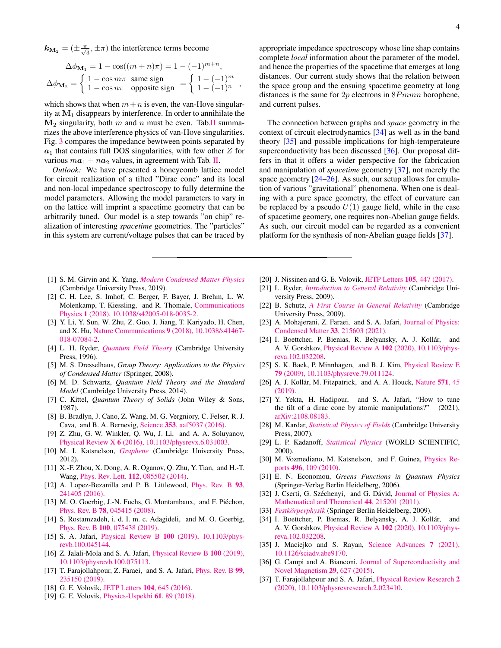$\mathbf{k}_{\mathbf{M}_2} = (\pm \frac{\pi}{\sqrt{3}}, \pm \pi)$  the interference terms become

$$
\Delta\phi_{\mathbf{M}_1} = 1 - \cos((m+n)\pi) = 1 - (-1)^{m+n},
$$
  

$$
\Delta\phi_{\mathbf{M}_2} = \begin{cases} 1 - \cos m\pi & \text{same sign} \\ 1 - \cos n\pi & \text{opposite sign} \end{cases} = \begin{cases} 1 - (-1)^m \\ 1 - (-1)^n \end{cases},
$$

which shows that when  $m+n$  is even, the van-Hove singularity at  $M_1$  disappears by interference. In order to annihilate the  $M_2$  singularity, both m and n must be even. Tab[.II](#page-2-2) summarizes the above interference physics of van-Hove singularities. Fig. [3](#page-2-3) compares the impedance bewtween points separated by  $a_1$  that contains full DOS singularities, with few other Z for various  $m\mathbf{a}_1 + n\mathbf{a}_2$  values, in agreement with Tab. [II.](#page-2-2)

*Outlook:* We have presented a honeycomb lattice model for circuit realization of a tilted "Dirac cone" and its local and non-local impedance spectroscopy to fully determine the model parameters. Allowing the model parameters to vary in on the lattice will imprint a spacetime geometry that can be arbitrarily tuned. Our model is a step towards "on chip" realization of interesting *spacetime* geometries. The "particles" in this system are current/voltage pulses that can be traced by

- <span id="page-3-0"></span>[1] S. M. Girvin and K. Yang, *[Modern Condensed Matter Physics](http://dx.doi.org/10.1017/9781316480649)* (Cambridge University Press, 2019).
- <span id="page-3-1"></span>[2] C. H. Lee, S. Imhof, C. Berger, F. Bayer, J. Brehm, L. W. Molenkamp, T. Kiessling, and R. Thomale, [Communications](http://dx.doi.org/10.1038/s42005-018-0035-2) Physics 1 [\(2018\), 10.1038/s42005-018-0035-2.](http://dx.doi.org/10.1038/s42005-018-0035-2)
- <span id="page-3-2"></span>[3] Y. Li, Y. Sun, W. Zhu, Z. Guo, J. Jiang, T. Kariyado, H. Chen, and X. Hu, Nature Communications 9 [\(2018\), 10.1038/s41467-](http://dx.doi.org/10.1038/s41467-018-07084-2) [018-07084-2.](http://dx.doi.org/10.1038/s41467-018-07084-2)
- <span id="page-3-3"></span>[4] L. H. Ryder, *[Quantum Field Theory](http://dx.doi.org/10.1017/cbo9780511813900)* (Cambridge University Press, 1996).
- <span id="page-3-4"></span>[5] M. S. Dresselhaus, *Group Theory: Applications to the Physics of Condensed Matter* (Springer, 2008).
- <span id="page-3-5"></span>[6] M. D. Schwartz, *Quantum Field Theory and the Standard Model* (Cambridge University Press, 2014).
- <span id="page-3-6"></span>[7] C. Kittel, *Quantum Theory of Solids* (John Wiley & Sons, 1987).
- <span id="page-3-7"></span>[8] B. Bradlyn, J. Cano, Z. Wang, M. G. Vergniory, C. Felser, R. J. Cava, and B. A. Bernevig, Science 353[, aaf5037 \(2016\).](http://dx.doi.org/10.1126/science.aaf5037)
- <span id="page-3-8"></span>[9] Z. Zhu, G. W. Winkler, Q. Wu, J. Li, and A. A. Soluyanov, Physical Review X 6 [\(2016\), 10.1103/physrevx.6.031003.](http://dx.doi.org/ 10.1103/physrevx.6.031003)
- <span id="page-3-9"></span>[10] M. I. Katsnelson, *[Graphene](http://dx.doi.org/10.1017/cbo9781139031080)* (Cambridge University Press, 2012).
- <span id="page-3-10"></span>[11] X.-F. Zhou, X. Dong, A. R. Oganov, Q. Zhu, Y. Tian, and H.-T. Wang, Phys. Rev. Lett. 112[, 085502 \(2014\).](http://dx.doi.org/10.1103/PhysRevLett.112.085502)
- [12] A. Lopez-Bezanilla and P. B. Littlewood, [Phys. Rev. B](http://dx.doi.org/10.1103/PhysRevB.93.241405) 93, [241405 \(2016\).](http://dx.doi.org/10.1103/PhysRevB.93.241405)
- [13] M. O. Goerbig, J.-N. Fuchs, G. Montambaux, and F. Piéchon, Phys. Rev. B 78[, 045415 \(2008\).](http://dx.doi.org/10.1103/PhysRevB.78.045415)
- <span id="page-3-11"></span>[14] S. Rostamzadeh, i. d. I. m. c. Adagideli, and M. O. Goerbig, Phys. Rev. B 100[, 075438 \(2019\).](http://dx.doi.org/10.1103/PhysRevB.100.075438)
- <span id="page-3-12"></span>[15] S. A. Jafari, Physical Review B 100 [\(2019\), 10.1103/phys](http://dx.doi.org/10.1103/physrevb.100.045144)[revb.100.045144.](http://dx.doi.org/10.1103/physrevb.100.045144)
- [16] Z. Jalali-Mola and S. A. Jafari, [Physical Review B](http://dx.doi.org/10.1103/physrevb.100.075113) 100 (2019), [10.1103/physrevb.100.075113.](http://dx.doi.org/10.1103/physrevb.100.075113)
- [17] T. Farajollahpour, Z. Faraei, and S. A. Jafari, [Phys. Rev. B](http://dx.doi.org/10.1103/PhysRevB.99.235150) 99, [235150 \(2019\).](http://dx.doi.org/10.1103/PhysRevB.99.235150)
- [18] G. E. Volovik, [JETP Letters](http://dx.doi.org/10.1134/S0021364016210050) **104**, 645 (2016).
- [19] G. E. Volovik, [Physics-Uspekhi](http://dx.doi.org/10.3367/ufne.2017.01.038218) 61, 89 (2018).

appropriate impedance spectroscopy whose line shap contains complete *local* information about the parameter of the model, and hence the properties of the spacetime that emerges at long distances. Our current study shows that the relation between the space group and the ensuing spacetime geometry at long distances is the same for  $2p$  electrons in  $8Pmmn$  borophene, and current pulses.

The connection between graphs and *space* geometry in the context of circuit electrodynamics [\[34\]](#page-3-26) as well as in the band theory [\[35\]](#page-3-27) and possible implications for high-temperateure superconductivity has been discussed [\[36\]](#page-3-28). Our proposal differs in that it offers a wider perspective for the fabrication and manipulation of *spacetime* geometry [\[37\]](#page-3-29), not merely the space geometry [\[24](#page-3-17)[–26\]](#page-3-18). As such, our setup allows for emulation of various "gravitational" phenomena. When one is dealing with a pure space geometry, the effect of curvature can be replaced by a pseudo  $U(1)$  gauge field, while in the case of spacetime geomery, one requires non-Abelian gauge fields. As such, our circuit model can be regarded as a convenient platform for the synthesis of non-Abelian guage fields [\[37\]](#page-3-29).

- <span id="page-3-13"></span>[20] J. Nissinen and G. E. Volovik, [JETP Letters](http://dx.doi.org/10.1134/S0021364017070013) 105, 447 (2017).
- <span id="page-3-14"></span>[21] L. Ryder, *[Introduction to General Relativity](http://dx.doi.org/10.1017/cbo9780511809033)* (Cambridge University Press, 2009).
- <span id="page-3-15"></span>[22] B. Schutz, *[A First Course in General Relativity](http://dx.doi.org/10.1017/cbo9780511984181)* (Cambridge University Press, 2009).
- <span id="page-3-16"></span>[23] A. Mohajerani, Z. Faraei, and S. A. Jafari, [Journal of Physics:](http://dx.doi.org/10.1088/1361-648x/abe64e) [Condensed Matter](http://dx.doi.org/10.1088/1361-648x/abe64e) 33, 215603 (2021).
- <span id="page-3-17"></span>[24] I. Boettcher, P. Bienias, R. Belyansky, A. J. Kollár, and A. V. Gorshkov, Physical Review A 102 [\(2020\), 10.1103/phys](http://dx.doi.org/10.1103/physreva.102.032208)[reva.102.032208.](http://dx.doi.org/10.1103/physreva.102.032208)
- [25] S. K. Baek, P. Minnhagen, and B. J. Kim, *[Physical Review E](http://dx.doi.org/10.1103/physreve.79.011124)* 79 [\(2009\), 10.1103/physreve.79.011124.](http://dx.doi.org/10.1103/physreve.79.011124)
- <span id="page-3-18"></span>[26] A. J. Kollár, M. Fitzpatrick, and A. A. Houck, [Nature](http://dx.doi.org/10.1038/s41586-019-1348-3)  $571$ , 45 [\(2019\).](http://dx.doi.org/10.1038/s41586-019-1348-3)
- <span id="page-3-19"></span>[27] Y. Yekta, H. Hadipour, and S. A. Jafari, "How to tune the tilt of a dirac cone by atomic manipulations?" (2021), [arXiv:2108.08183.](http://arxiv.org/abs/arXiv:2108.08183)
- <span id="page-3-20"></span>[28] M. Kardar, *[Statistical Physics of Fields](http://dx.doi.org/10.1017/cbo9780511815881)* (Cambridge University Press, 2007).
- <span id="page-3-21"></span>[29] L. P. Kadanoff, *[Statistical Physics](http://dx.doi.org/10.1142/4016)* (WORLD SCIENTIFIC, 2000).
- <span id="page-3-22"></span>[30] M. Vozmediano, M. Katsnelson, and F. Guinea, [Physics Re](http://dx.doi.org/10.1016/j.physrep.2010.07.003)ports 496[, 109 \(2010\).](http://dx.doi.org/10.1016/j.physrep.2010.07.003)
- <span id="page-3-23"></span>[31] E. N. Economou, *Greens Functions in Quantum Physics* (Springer-Verlag Berlin Heidelberg, 2006).
- <span id="page-3-24"></span>[32] J. Cserti, G. Széchenyi, and G. Dávid, [Journal of Physics A:](http://dx.doi.org/10.1088/1751-8113/44/21/215201) [Mathematical and Theoretical](http://dx.doi.org/10.1088/1751-8113/44/21/215201) 44, 215201 (2011).
- <span id="page-3-25"></span>[33] *Festkörperphysik* (Springer Berlin Heidelberg, 2009).
- <span id="page-3-26"></span>[34] I. Boettcher, P. Bienias, R. Belyansky, A. J. Kollár, and A. V. Gorshkov, Physical Review A 102 [\(2020\), 10.1103/phys](http://dx.doi.org/10.1103/physreva.102.032208)[reva.102.032208.](http://dx.doi.org/10.1103/physreva.102.032208)
- <span id="page-3-27"></span>[35] J. Maciejko and S. Rayan, [Science Advances](http://dx.doi.org/10.1126/sciadv.abe9170) 7 (2021), [10.1126/sciadv.abe9170.](http://dx.doi.org/10.1126/sciadv.abe9170)
- <span id="page-3-28"></span>[36] G. Campi and A. Bianconi, [Journal of Superconductivity and](http://dx.doi.org/10.1007/s10948-015-3326-9) [Novel Magnetism](http://dx.doi.org/10.1007/s10948-015-3326-9) 29, 627 (2015).
- <span id="page-3-29"></span>[37] T. Farajollahpour and S. A. Jafari, [Physical Review Research](http://dx.doi.org/10.1103/physrevresearch.2.023410) 2 [\(2020\), 10.1103/physrevresearch.2.023410.](http://dx.doi.org/10.1103/physrevresearch.2.023410)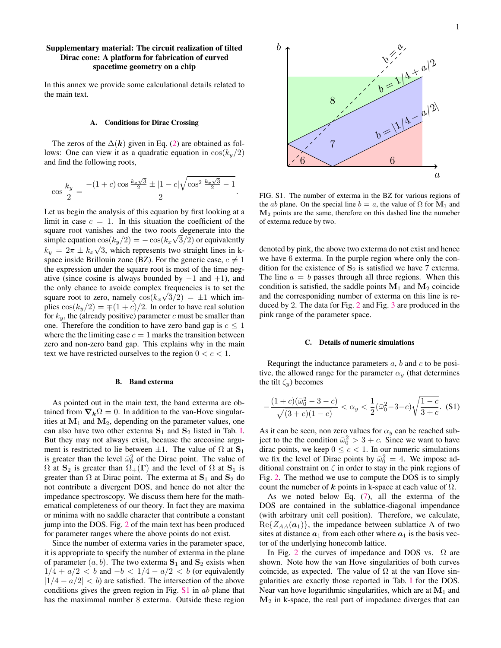## Supplementary material: The circuit realization of tilted Dirac cone: A platform for fabrication of curved spacetime geometry on a chip

In this annex we provide some calculational details related to the main text.

### A. Conditions for Dirac Crossing

The zeros of the  $\Delta(k)$  given in Eq. [\(2\)](#page-1-3) are obtained as follows: One can view it as a quadratic equation in  $cos(k_y/2)$ and find the following roots,

$$
\cos\frac{k_y}{2} = \frac{-(1+c)\cos\frac{k_x\sqrt{3}}{2} \pm |1-c|\sqrt{\cos^2\frac{k_x\sqrt{3}}{2} - 1}}{2}.
$$

Let us begin the analysis of this equation by first looking at a limit in case  $c = 1$ . In this situation the coefficient of the square root vanishes and the two roots degenerate into the simple equation  $\cos(k_y/2) = -\cos(k_x\sqrt{3}/2)$  or equivalently  $k_y = 2\pi \pm k_x \sqrt{3}$ , which represents two straight lines in kspace inside Brillouin zone (BZ). For the generic case,  $c \neq 1$ the expression under the square root is most of the time negative (since cosine is always bounded by  $-1$  and  $+1$ ), and the only chance to avoide complex frequencies is to set the square root to zero, namely  $cos(k_x\sqrt{3}/2) = \pm 1$  which implies  $\cos(k_y/2) = \pm (1+c)/2$ . In order to have real solution for  $k_y$ , the (already positive) parameter c must be smaller than one. Therefore the condition to have zero band gap is  $c \leq 1$ where the the limiting case  $c = 1$  marks the transition between zero and non-zero band gap. This explains why in the main text we have restricted ourselves to the region  $0 < c < 1$ .

#### B. Band exterma

As pointed out in the main text, the band exterma are obtained from  $\nabla_k \Omega = 0$ . In addition to the van-Hove singularities at  $M_1$  and  $M_2$ , depending on the parameter values, one can also have two other exterma  $S_1$  and  $S_2$  listed in Tab. [I.](#page-1-2) But they may not always exist, because the arccosine argument is restricted to lie between  $\pm 1$ . The value of  $\Omega$  at  $S_1$ is greater than the level  $\bar{\omega}_0^2$  of the Dirac point. The value of  $\Omega$  at  $\mathbf{S}_2$  is greater than  $\Omega_+(\mathbf{\Gamma})$  and the level of  $\Omega$  at  $\mathbf{S}_1$  is greater than  $\Omega$  at Dirac point. The exterma at  $S_1$  and  $S_2$  do not contribute a divergent DOS, and hence do not alter the impedance spectroscopy. We discuss them here for the mathematical completeness of our theory. In fact they are maxima or minima with no saddle character that contribute a constant jump into the DOS. Fig. [2](#page-2-0) of the main text has been produced for parameter ranges where the above points do not exist.

Since the number of exterma varies in the parameter space, it is appropriate to specify the number of exterma in the plane of parameter  $(a, b)$ . The two exterma  $S_1$  and  $S_2$  exists when  $1/4 + a/2 < b$  and  $-b < 1/4 - a/2 < b$  (or equivalently  $|1/4 - a/2| < b$  are satisfied. The intersection of the above conditions gives the green region in Fig.  $S1$  in ab plane that has the maximmal number 8 exterma. Outside these region



FIG. S1. The number of exterma in the BZ for various regions of the *ab* plane. On the special line  $b = a$ , the value of  $\Omega$  for  $M_1$  and M<sup>2</sup> points are the same, therefore on this dashed line the numeber of exterma reduce by two.

denoted by pink, the above two exterma do not exist and hence we have 6 exterma. In the purple region where only the condition for the existence of  $S_2$  is satisfied we have 7 exterma. The line  $a = b$  passes through all three regions. When this condition is satisfied, the saddle points  $M_1$  and  $M_2$  coincide and the corresponiding number of exterma on this line is reduced by 2. The data for Fig. [2](#page-2-0) and Fig. [3](#page-2-3) are produced in the pink range of the parameter space.

#### C. Details of numeric simulations

Requringt the inductance parameters  $a$ ,  $b$  and  $c$  to be positive, the allowed range for the parameter  $\alpha_y$  (that determines the tilt  $\zeta_y$ ) becomes

$$
-\frac{(1+c)(\bar{\omega}_0^2-3-c)}{\sqrt{(3+c)(1-c)}} < \alpha_y < \frac{1}{2}(\bar{\omega}_0^2-3-c)\sqrt{\frac{1-c}{3+c}}.\tag{S1}
$$

As it can be seen, non zero values for  $\alpha_y$  can be reached subject to the the condition  $\bar{\omega}_0^2 > 3 + c$ . Since we want to have dirac points, we keep  $0 \leq c < 1$ . In our numeric simulations we fix the level of Dirac points by  $\bar{\omega}_0^2 = 4$ . We impose additional constraint on  $\zeta$  in order to stay in the pink regions of Fig. [2.](#page-2-0) The method we use to compute the DOS is to simply count the numeber of k points in k-space at each value of  $\Omega$ .

As we noted below Eq. [\(7\)](#page-2-1), all the exterma of the DOS are contained in the sublattice-diagonal impendance (with arbitrary unit cell position). Therefore, we calculate,  $Re{Z_{AA}(a_1)}$ , the impedance between sublattice A of two sites at distance  $a_1$  from each other where  $a_1$  is the basis vector of the underlying honecomb lattice.

In Fig. [2](#page-2-0) the curves of impedance and DOS vs.  $\Omega$  are shown. Note how the van Hove singularities of both curves coincide, as expected. The value of  $\Omega$  at the van Hove singularities are exactly those reported in Tab. [I](#page-1-2) for the DOS. Near van hove logarithmic singularities, which are at  $M_1$  and  $M<sub>2</sub>$  in k-space, the real part of impedance diverges that can